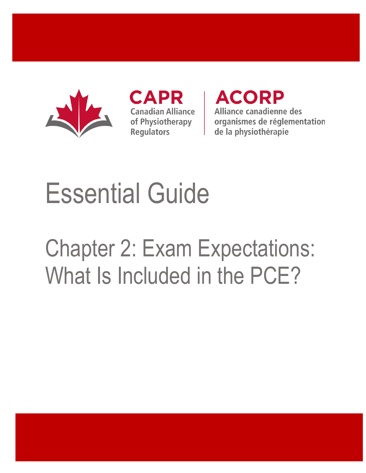

CAPR **Canadian Alliance** of Physiotherapy **Regulators** 

**ACORP** Alliance canadienne des organismes de réglementation de la physiothérapie

# Essential Guide

# Chapter 2: Exam Expectations: What Is Included in the PCE?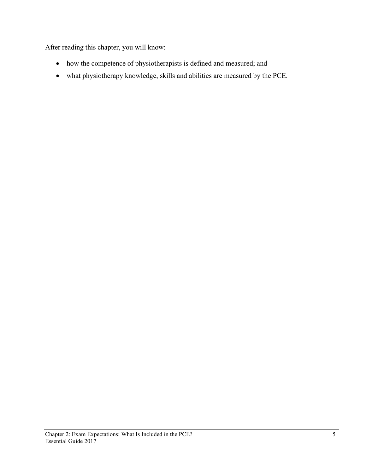After reading this chapter, you will know:

- how the competence of physiotherapists is defined and measured; and
- what physiotherapy knowledge, skills and abilities are measured by the PCE.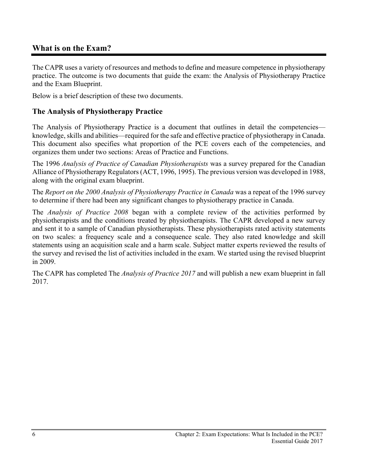## **What is on the Exam?**

The CAPR uses a variety of resources and methods to define and measure competence in physiotherapy practice. The outcome is two documents that guide the exam: the Analysis of Physiotherapy Practice and the Exam Blueprint.

Below is a brief description of these two documents.

#### **The Analysis of Physiotherapy Practice**

The Analysis of Physiotherapy Practice is a document that outlines in detail the competencies knowledge, skills and abilities—required for the safe and effective practice of physiotherapy in Canada. This document also specifies what proportion of the PCE covers each of the competencies, and organizes them under two sections: Areas of Practice and Functions.

The 1996 *Analysis of Practice of Canadian Physiotherapists* was a survey prepared for the Canadian Alliance of Physiotherapy Regulators (ACT, 1996, 1995). The previous version was developed in 1988, along with the original exam blueprint.

The *Report on the 2000 Analysis of Physiotherapy Practice in Canada* was a repeat of the 1996 survey to determine if there had been any significant changes to physiotherapy practice in Canada.

The *Analysis of Practice 2008* began with a complete review of the activities performed by physiotherapists and the conditions treated by physiotherapists. The CAPR developed a new survey and sent it to a sample of Canadian physiotherapists. These physiotherapists rated activity statements on two scales: a frequency scale and a consequence scale. They also rated knowledge and skill statements using an acquisition scale and a harm scale. Subject matter experts reviewed the results of the survey and revised the list of activities included in the exam. We started using the revised blueprint in 2009.

The CAPR has completed The *Analysis of Practice 2017* and will publish a new exam blueprint in fall 2017.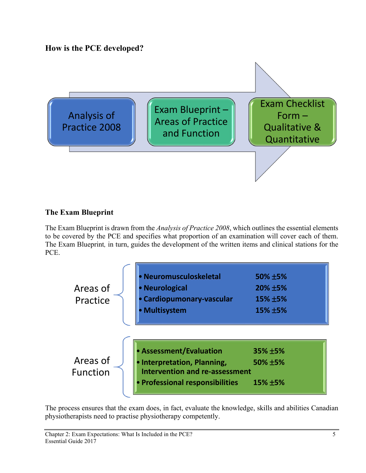**How is the PCE developed?**



# **The Exam Blueprint**

The Exam Blueprint is drawn from the *Analysis of Practice 2008*, which outlines the essential elements to be covered by the PCE and specifies what proportion of an examination will cover each of them. The Exam Blueprint*,* in turn, guides the development of the written items and clinical stations for the PCE.

| Areas of<br>Practice        | <b>Neuromusculoskeletal</b><br>• Neurological<br>Cardiopumonary-vascular<br>• Multisystem                                          | 50% ±5%<br>20% ±5%<br>15% ±5%<br>15% ±5% |
|-----------------------------|------------------------------------------------------------------------------------------------------------------------------------|------------------------------------------|
| Areas of<br><b>Function</b> | • Assessment/Evaluation<br>• Interpretation, Planning,<br><b>Intervention and re-assessment</b><br>• Professional responsibilities | 35% ±5%<br>50% ±5%<br>$15\% \pm 5\%$     |

The process ensures that the exam does, in fact, evaluate the knowledge, skills and abilities Canadian physiotherapists need to practise physiotherapy competently.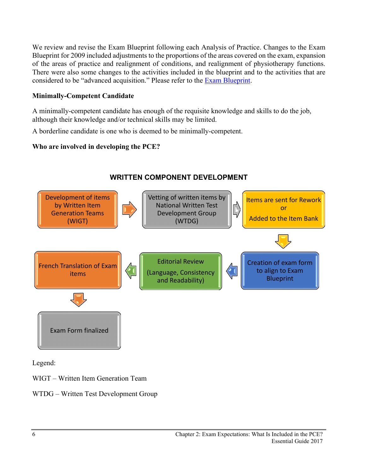We review and revise the Exam Blueprint following each Analysis of Practice. Changes to the Exam Blueprint for 2009 included adjustments to the proportions of the areas covered on the exam, expansion of the areas of practice and realignment of conditions, and realignment of physiotherapy functions. There were also some changes to the activities included in the blueprint and to the activities that are considered to be "advanced acquisition." Please refer to the [Exam Blueprint.](http://www.alliancept.org/taking-the-exam/preparing-for-the-exam/exam-blueprint/)

#### **Minimally-Competent Candidate**

A minimally-competent candidate has enough of the requisite knowledge and skills to do the job, although their knowledge and/or technical skills may be limited.

A borderline candidate is one who is deemed to be minimally-competent.

#### **Who are involved in developing the PCE?**



# **WRITTEN COMPONENT DEVELOPMENT**

Legend:

WIGT – Written Item Generation Team

WTDG – Written Test Development Group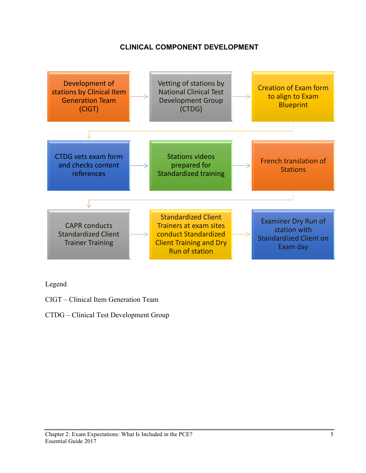## **CLINICAL COMPONENT DEVELOPMENT**



Legend

- CIGT Clinical Item Generation Team
- CTDG Clinical Test Development Group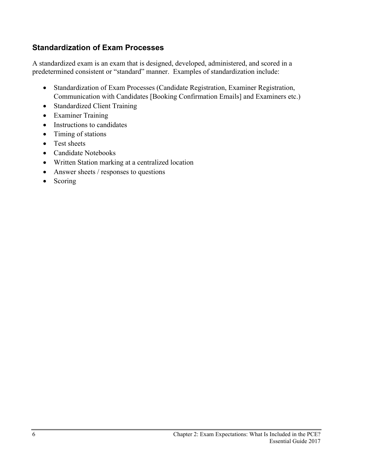# **Standardization of Exam Processes**

A standardized exam is an exam that is designed, developed, administered, and scored in a predetermined consistent or "standard" manner. Examples of standardization include:

- Standardization of Exam Processes (Candidate Registration, Examiner Registration, Communication with Candidates [Booking Confirmation Emails] and Examiners etc.)
- Standardized Client Training
- Examiner Training
- Instructions to candidates
- Timing of stations
- Test sheets
- Candidate Notebooks
- Written Station marking at a centralized location
- Answer sheets / responses to questions
- Scoring